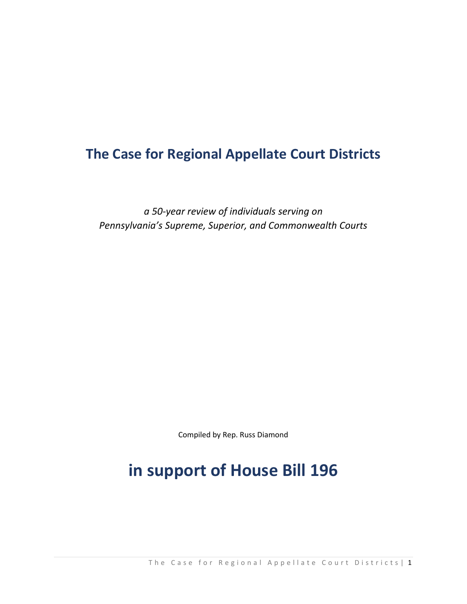# **The Case for Regional Appellate Court Districts**

*a 50‐year review of individuals serving on Pennsylvania's Supreme, Superior, and Commonwealth Courts*

Compiled by Rep. Russ Diamond

# **in support of House Bill 196**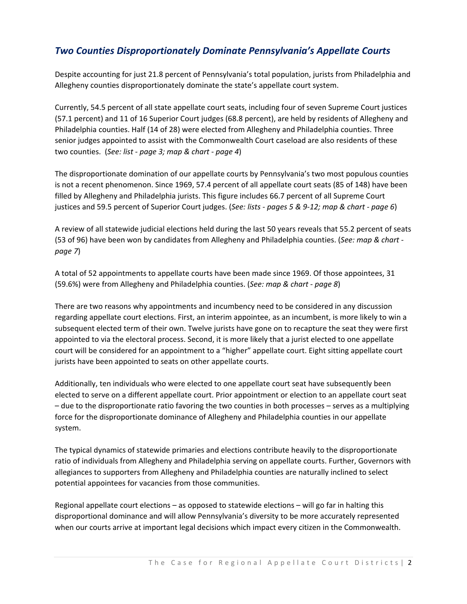## *Two Counties Disproportionately Dominate Pennsylvania's Appellate Courts*

Despite accounting for just 21.8 percent of Pennsylvania's total population, jurists from Philadelphia and Allegheny counties disproportionately dominate the state's appellate court system.

Currently, 54.5 percent of all state appellate court seats, including four of seven Supreme Court justices (57.1 percent) and 11 of 16 Superior Court judges (68.8 percent), are held by residents of Allegheny and Philadelphia counties. Half (14 of 28) were elected from Allegheny and Philadelphia counties. Three senior judges appointed to assist with the Commonwealth Court caseload are also residents of these two counties. (*See: list ‐ page 3; map & chart ‐ page 4*)

The disproportionate domination of our appellate courts by Pennsylvania's two most populous counties is not a recent phenomenon. Since 1969, 57.4 percent of all appellate court seats (85 of 148) have been filled by Allegheny and Philadelphia jurists. This figure includes 66.7 percent of all Supreme Court justices and 59.5 percent of Superior Court judges. (*See: lists ‐ pages 5 & 9‐12; map & chart ‐ page 6*)

A review of all statewide judicial elections held during the last 50 years reveals that 55.2 percent of seats (53 of 96) have been won by candidates from Allegheny and Philadelphia counties. (*See: map & chart ‐ page 7*)

A total of 52 appointments to appellate courts have been made since 1969. Of those appointees, 31 (59.6%) were from Allegheny and Philadelphia counties. (*See: map & chart ‐ page 8*)

There are two reasons why appointments and incumbency need to be considered in any discussion regarding appellate court elections. First, an interim appointee, as an incumbent, is more likely to win a subsequent elected term of their own. Twelve jurists have gone on to recapture the seat they were first appointed to via the electoral process. Second, it is more likely that a jurist elected to one appellate court will be considered for an appointment to a "higher" appellate court. Eight sitting appellate court jurists have been appointed to seats on other appellate courts.

Additionally, ten individuals who were elected to one appellate court seat have subsequently been elected to serve on a different appellate court. Prior appointment or election to an appellate court seat – due to the disproportionate ratio favoring the two counties in both processes – serves as a multiplying force for the disproportionate dominance of Allegheny and Philadelphia counties in our appellate system.

The typical dynamics of statewide primaries and elections contribute heavily to the disproportionate ratio of individuals from Allegheny and Philadelphia serving on appellate courts. Further, Governors with allegiances to supporters from Allegheny and Philadelphia counties are naturally inclined to select potential appointees for vacancies from those communities.

Regional appellate court elections – as opposed to statewide elections – will go far in halting this disproportional dominance and will allow Pennsylvania's diversity to be more accurately represented when our courts arrive at important legal decisions which impact every citizen in the Commonwealth.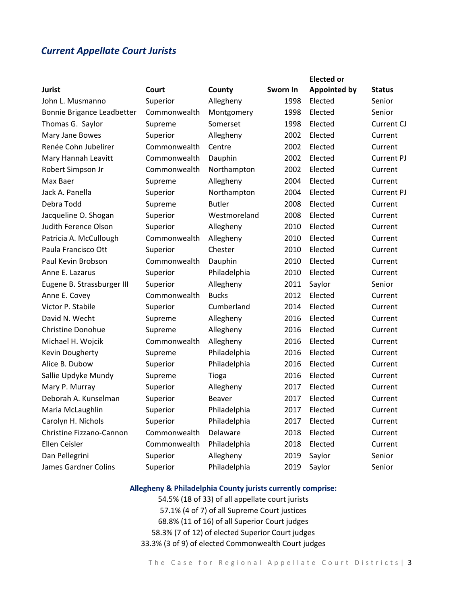## *Current Appellate Court Jurists*

|                             |              |               |          | <b>Elected or</b>   |                   |
|-----------------------------|--------------|---------------|----------|---------------------|-------------------|
| <b>Jurist</b>               | Court        | County        | Sworn In | <b>Appointed by</b> | <b>Status</b>     |
| John L. Musmanno            | Superior     | Allegheny     | 1998     | Elected             | Senior            |
| Bonnie Brigance Leadbetter  | Commonwealth | Montgomery    | 1998     | Elected             | Senior            |
| Thomas G. Saylor            | Supreme      | Somerset      | 1998     | Elected             | Current CJ        |
| Mary Jane Bowes             | Superior     | Allegheny     | 2002     | Elected             | Current           |
| Renée Cohn Jubelirer        | Commonwealth | Centre        | 2002     | Elected             | Current           |
| Mary Hannah Leavitt         | Commonwealth | Dauphin       | 2002     | Elected             | <b>Current PJ</b> |
| Robert Simpson Jr           | Commonwealth | Northampton   | 2002     | Elected             | Current           |
| Max Baer                    | Supreme      | Allegheny     | 2004     | Elected             | Current           |
| Jack A. Panella             | Superior     | Northampton   | 2004     | Elected             | <b>Current PJ</b> |
| Debra Todd                  | Supreme      | <b>Butler</b> | 2008     | Elected             | Current           |
| Jacqueline O. Shogan        | Superior     | Westmoreland  | 2008     | Elected             | Current           |
| Judith Ference Olson        | Superior     | Allegheny     | 2010     | Elected             | Current           |
| Patricia A. McCullough      | Commonwealth | Allegheny     | 2010     | Elected             | Current           |
| Paula Francisco Ott         | Superior     | Chester       | 2010     | Elected             | Current           |
| Paul Kevin Brobson          | Commonwealth | Dauphin       | 2010     | Elected             | Current           |
| Anne E. Lazarus             | Superior     | Philadelphia  | 2010     | Elected             | Current           |
| Eugene B. Strassburger III  | Superior     | Allegheny     | 2011     | Saylor              | Senior            |
| Anne E. Covey               | Commonwealth | <b>Bucks</b>  | 2012     | Elected             | Current           |
| Victor P. Stabile           | Superior     | Cumberland    | 2014     | Elected             | Current           |
| David N. Wecht              | Supreme      | Allegheny     | 2016     | Elected             | Current           |
| <b>Christine Donohue</b>    | Supreme      | Allegheny     | 2016     | Elected             | Current           |
| Michael H. Wojcik           | Commonwealth | Allegheny     | 2016     | Elected             | Current           |
| Kevin Dougherty             | Supreme      | Philadelphia  | 2016     | Elected             | Current           |
| Alice B. Dubow              | Superior     | Philadelphia  | 2016     | Elected             | Current           |
| Sallie Updyke Mundy         | Supreme      | <b>Tioga</b>  | 2016     | Elected             | Current           |
| Mary P. Murray              | Superior     | Allegheny     | 2017     | Elected             | Current           |
| Deborah A. Kunselman        | Superior     | Beaver        | 2017     | Elected             | Current           |
| Maria McLaughlin            | Superior     | Philadelphia  | 2017     | Elected             | Current           |
| Carolyn H. Nichols          | Superior     | Philadelphia  | 2017     | Elected             | Current           |
| Christine Fizzano-Cannon    | Commonwealth | Delaware      | 2018     | Elected             | Current           |
| Ellen Ceisler               | Commonwealth | Philadelphia  | 2018     | Elected             | Current           |
| Dan Pellegrini              | Superior     | Allegheny     | 2019     | Saylor              | Senior            |
| <b>James Gardner Colins</b> | Superior     | Philadelphia  | 2019     | Saylor              | Senior            |
|                             |              |               |          |                     |                   |

### **Allegheny & Philadelphia County jurists currently comprise:**

54.5% (18 of 33) of all appellate court jurists 57.1% (4 of 7) of all Supreme Court justices 68.8% (11 of 16) of all Superior Court judges 58.3% (7 of 12) of elected Superior Court judges 33.3% (3 of 9) of elected Commonwealth Court judges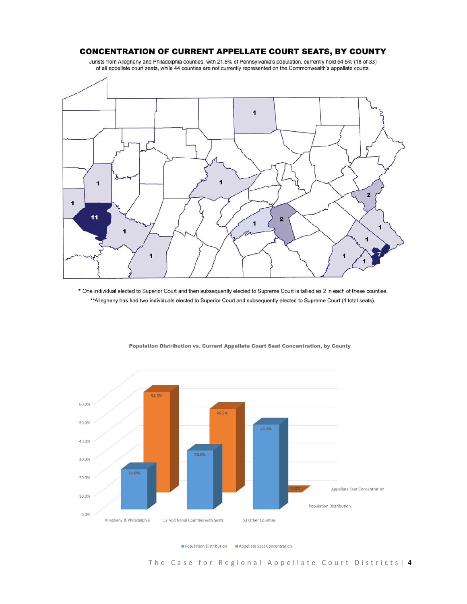#### **CONCENTRATION OF CURRENT APPELLATE COURT SEATS, BY COUNTY**

Jurists from Allegheny and Philadelphia counties, with 21.8% of Pennsylvania's population, currently hold 54.5% (18 of 33) of all appellate court seats, while 44 counties are not currently represented on the Commonwealth's appellate courts.



\* One individual elected to Superior Court and then subsequently elected to Supreme Court is tallied as 2 in each of these counties. \*\*Allegheny has had two individuals elected to Superior Court and subsequently elected to Supreme Court (4 total seats).



Population Distribution vs. Current Appellate Court Seat Concentration, by County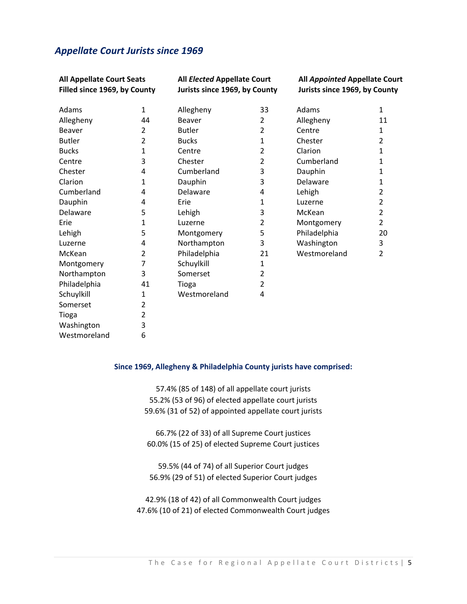## *Appellate Court Jurists since 1969*

| <b>All Appellate Court Seats</b><br>Filled since 1969, by County |              |               | All Elected Appellate Court<br>Jurists since 1969, by County |              | All Appointed Appellate Court<br>Jurists since 1969, by County |  |
|------------------------------------------------------------------|--------------|---------------|--------------------------------------------------------------|--------------|----------------------------------------------------------------|--|
| Adams                                                            | $\mathbf{1}$ | Allegheny     | 33                                                           | Adams        | 1                                                              |  |
| Allegheny                                                        | 44           | <b>Beaver</b> | 2                                                            | Allegheny    | 11                                                             |  |
| Beaver                                                           | 2            | <b>Butler</b> | 2                                                            | Centre       | 1                                                              |  |
| <b>Butler</b>                                                    | 2            | <b>Bucks</b>  | 1                                                            | Chester      | $\overline{2}$                                                 |  |
| <b>Bucks</b>                                                     | 1            | Centre        | $\overline{2}$                                               | Clarion      | 1                                                              |  |
| Centre                                                           | 3            | Chester       | $\overline{2}$                                               | Cumberland   | 1                                                              |  |
| Chester                                                          | 4            | Cumberland    | 3                                                            | Dauphin      | 1                                                              |  |
| Clarion                                                          | 1            | Dauphin       | 3                                                            | Delaware     | 1                                                              |  |
| Cumberland                                                       | 4            | Delaware      | 4                                                            | Lehigh       | $\overline{2}$                                                 |  |
| Dauphin                                                          | 4            | Erie          | 1                                                            | Luzerne      | 2                                                              |  |
| Delaware                                                         | 5            | Lehigh        | 3                                                            | McKean       | $\overline{2}$                                                 |  |
| Erie                                                             | 1            | Luzerne       | $\overline{2}$                                               | Montgomery   | $\overline{2}$                                                 |  |
| Lehigh                                                           | 5            | Montgomery    | 5                                                            | Philadelphia | 20                                                             |  |
| Luzerne                                                          | 4            | Northampton   | 3                                                            | Washington   | 3                                                              |  |
| McKean                                                           | 2            | Philadelphia  | 21                                                           | Westmoreland | $\overline{2}$                                                 |  |
| Montgomery                                                       | 7            | Schuylkill    | 1                                                            |              |                                                                |  |
| Northampton                                                      | 3            | Somerset      | 2                                                            |              |                                                                |  |
| Philadelphia                                                     | 41           | Tioga         | 2                                                            |              |                                                                |  |
| Schuylkill                                                       | 1            | Westmoreland  | 4                                                            |              |                                                                |  |
| Somerset                                                         | 2            |               |                                                              |              |                                                                |  |
| Tioga                                                            | 2            |               |                                                              |              |                                                                |  |
| Washington                                                       | 3            |               |                                                              |              |                                                                |  |
| Westmoreland                                                     | 6            |               |                                                              |              |                                                                |  |

#### **Since 1969, Allegheny & Philadelphia County jurists have comprised:**

57.4% (85 of 148) of all appellate court jurists 55.2% (53 of 96) of elected appellate court jurists 59.6% (31 of 52) of appointed appellate court jurists

66.7% (22 of 33) of all Supreme Court justices 60.0% (15 of 25) of elected Supreme Court justices

59.5% (44 of 74) of all Superior Court judges 56.9% (29 of 51) of elected Superior Court judges

42.9% (18 of 42) of all Commonwealth Court judges 47.6% (10 of 21) of elected Commonwealth Court judges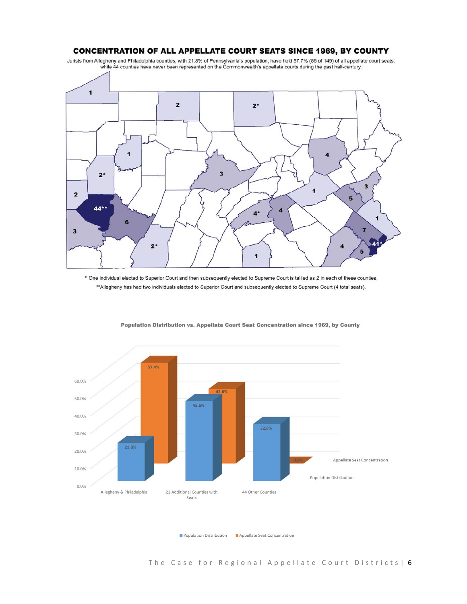#### **CONCENTRATION OF ALL APPELLATE COURT SEATS SINCE 1969, BY COUNTY**

Jurists from Allegheny and Philadelphia counties, with 21.8% of Pennsylvania's population, have held 57.7% (86 of 149) of all appellate court seats, while 44 counties have never been represented on the Commonwealth's appellate courts during the past half-century.



\* One individual elected to Superior Court and then subsequently elected to Supreme Court is tallied as 2 in each of these counties. \*\*Allegheny has had two individuals elected to Superior Court and subsequently elected to Supreme Court (4 total seats).



Population Distribution vs. Appellate Court Seat Concentration since 1969, by County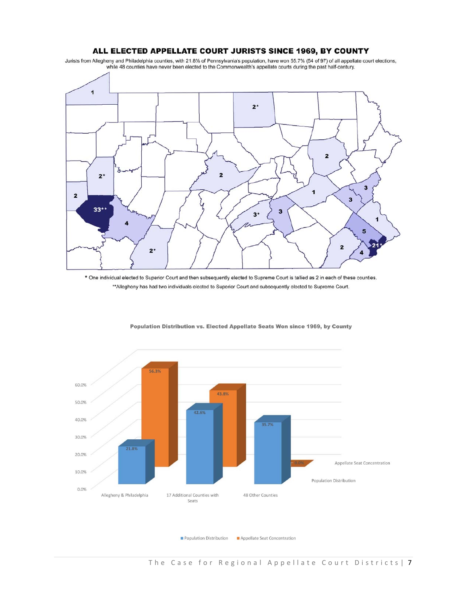#### ALL ELECTED APPELLATE COURT JURISTS SINCE 1969, BY COUNTY

Jurists from Allegheny and Philadelphia counties, with 21.8% of Pennsylvania's population, have won 55.7% (54 of 97) of all appellate court elections, while 48 counties have never been elected to the Commonwealth's appellate courts during the past half-century.



\* One individual elected to Superior Court and then subsequently elected to Supreme Court is tallied as 2 in each of these counties. \*\* Allegheny has had two individuals elected to Superior Court and subsequently elected to Supreme Court.



Population Distribution vs. Elected Appellate Seats Won since 1969, by County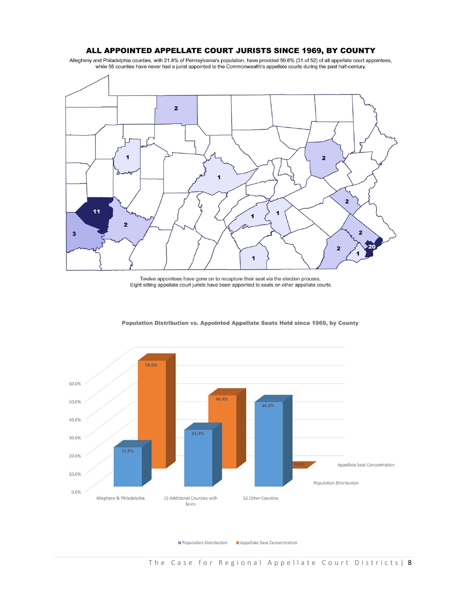#### ALL APPOINTED APPELLATE COURT JURISTS SINCE 1969, BY COUNTY

Allegheny and Philadelphia counties, with 21.8% of Pennsylvania's population, have provided 59.6% (31 of 52) of all appellate court appointees, while 55 counties have never had a jurist appointed to the Commonwealth's appellate courts during the past half-century.



Twelve appointees have gone on to recapture their seat via the election process. Eight sitting appellate court jurists have been appointed to seats on other appellate courts.



Population Distribution vs. Appointed Appellate Seats Held since 1969, by County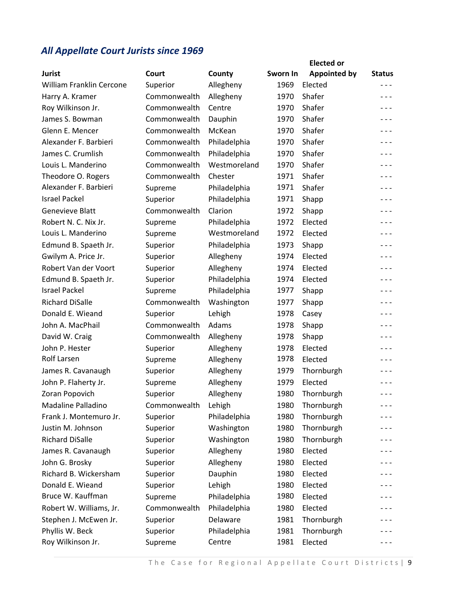# *All Appellate Court Jurists since 1969*

| <b>Jurist</b>            | Court        | County       | Sworn In | <b>Elected or</b><br><b>Appointed by</b> | <b>Status</b> |
|--------------------------|--------------|--------------|----------|------------------------------------------|---------------|
| William Franklin Cercone | Superior     | Allegheny    | 1969     | Elected                                  | $- - -$       |
| Harry A. Kramer          | Commonwealth | Allegheny    | 1970     | Shafer                                   | $- - -$       |
| Roy Wilkinson Jr.        | Commonwealth | Centre       | 1970     | Shafer                                   | $- - -$       |
| James S. Bowman          | Commonwealth | Dauphin      | 1970     | Shafer                                   | $- - -$       |
| Glenn E. Mencer          | Commonwealth | McKean       | 1970     | Shafer                                   | $- - -$       |
| Alexander F. Barbieri    | Commonwealth | Philadelphia | 1970     | Shafer                                   | $- - -$       |
| James C. Crumlish        | Commonwealth | Philadelphia | 1970     | Shafer                                   | $- - -$       |
| Louis L. Manderino       | Commonwealth | Westmoreland | 1970     | Shafer                                   | $- - -$       |
| Theodore O. Rogers       | Commonwealth | Chester      | 1971     | Shafer                                   | $- - -$       |
| Alexander F. Barbieri    | Supreme      | Philadelphia | 1971     | Shafer                                   | $- - -$       |
| <b>Israel Packel</b>     | Superior     | Philadelphia | 1971     | Shapp                                    | $- - -$       |
| Genevieve Blatt          | Commonwealth | Clarion      | 1972     | Shapp                                    | $- - -$       |
| Robert N. C. Nix Jr.     | Supreme      | Philadelphia | 1972     | Elected                                  | $- - -$       |
| Louis L. Manderino       | Supreme      | Westmoreland | 1972     | Elected                                  | $- - -$       |
| Edmund B. Spaeth Jr.     | Superior     | Philadelphia | 1973     | Shapp                                    | $- - -$       |
| Gwilym A. Price Jr.      | Superior     | Allegheny    | 1974     | Elected                                  | $- - -$       |
| Robert Van der Voort     | Superior     | Allegheny    | 1974     | Elected                                  | $- - -$       |
| Edmund B. Spaeth Jr.     | Superior     | Philadelphia | 1974     | Elected                                  | $- - -$       |
| <b>Israel Packel</b>     | Supreme      | Philadelphia | 1977     | Shapp                                    | $- - -$       |
| <b>Richard DiSalle</b>   | Commonwealth | Washington   | 1977     | Shapp                                    | $- - -$       |
| Donald E. Wieand         | Superior     | Lehigh       | 1978     | Casey                                    | $- - -$       |
| John A. MacPhail         | Commonwealth | Adams        | 1978     | Shapp                                    | $- - -$       |
| David W. Craig           | Commonwealth | Allegheny    | 1978     | Shapp                                    | $- - -$       |
| John P. Hester           | Superior     | Allegheny    | 1978     | Elected                                  | $- - -$       |
| <b>Rolf Larsen</b>       | Supreme      | Allegheny    | 1978     | Elected                                  | $- - -$       |
| James R. Cavanaugh       | Superior     | Allegheny    | 1979     | Thornburgh                               | $- - -$       |
| John P. Flaherty Jr.     | Supreme      | Allegheny    | 1979     | Elected                                  | $- - -$       |
| Zoran Popovich           | Superior     | Allegheny    | 1980     | Thornburgh                               | $- - -$       |
| Madaline Palladino       | Commonwealth | Lehigh       | 1980     | Thornburgh                               | $- - -$       |
| Frank J. Montemuro Jr.   | Superior     | Philadelphia | 1980     | Thornburgh                               | $- - -$       |
| Justin M. Johnson        | Superior     | Washington   | 1980     | Thornburgh                               | - - -         |
| <b>Richard DiSalle</b>   | Superior     | Washington   | 1980     | Thornburgh                               | - - -         |
| James R. Cavanaugh       | Superior     | Allegheny    | 1980     | Elected                                  | - - -         |
| John G. Brosky           | Superior     | Allegheny    | 1980     | Elected                                  | $- - -$       |
| Richard B. Wickersham    | Superior     | Dauphin      | 1980     | Elected                                  | - - -         |
| Donald E. Wieand         | Superior     | Lehigh       | 1980     | Elected                                  | $- - -$       |
| Bruce W. Kauffman        | Supreme      | Philadelphia | 1980     | Elected                                  | - - -         |
| Robert W. Williams, Jr.  | Commonwealth | Philadelphia | 1980     | Elected                                  | $- - -$       |
| Stephen J. McEwen Jr.    | Superior     | Delaware     | 1981     | Thornburgh                               | - - -         |
| Phyllis W. Beck          | Superior     | Philadelphia | 1981     | Thornburgh                               |               |
| Roy Wilkinson Jr.        | Supreme      | Centre       | 1981     | Elected                                  | - - -         |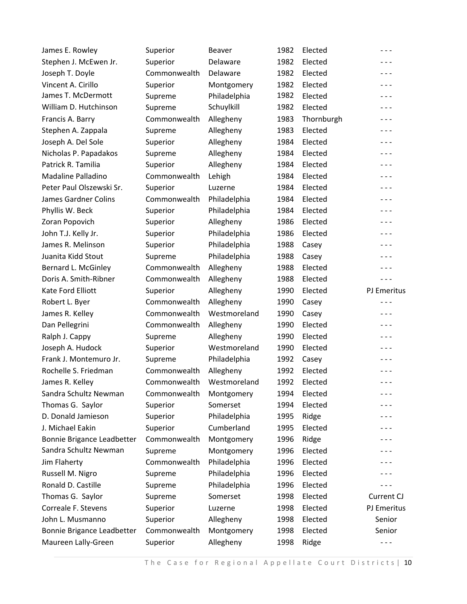| James E. Rowley            | Superior     | <b>Beaver</b> | 1982 | Elected    | $- - -$     |
|----------------------------|--------------|---------------|------|------------|-------------|
| Stephen J. McEwen Jr.      | Superior     | Delaware      | 1982 | Elected    | $- - -$     |
| Joseph T. Doyle            | Commonwealth | Delaware      | 1982 | Elected    | $- - -$     |
| Vincent A. Cirillo         | Superior     | Montgomery    | 1982 | Elected    | $- - -$     |
| James T. McDermott         | Supreme      | Philadelphia  | 1982 | Elected    | $- - -$     |
| William D. Hutchinson      | Supreme      | Schuylkill    | 1982 | Elected    | $- - -$     |
| Francis A. Barry           | Commonwealth | Allegheny     | 1983 | Thornburgh | $- - -$     |
| Stephen A. Zappala         | Supreme      | Allegheny     | 1983 | Elected    | $- - -$     |
| Joseph A. Del Sole         | Superior     | Allegheny     | 1984 | Elected    | $- - -$     |
| Nicholas P. Papadakos      | Supreme      | Allegheny     | 1984 | Elected    | $- - -$     |
| Patrick R. Tamilia         | Superior     | Allegheny     | 1984 | Elected    | $- - -$     |
| Madaline Palladino         | Commonwealth | Lehigh        | 1984 | Elected    | $- - -$     |
| Peter Paul Olszewski Sr.   | Superior     | Luzerne       | 1984 | Elected    | $- - -$     |
| James Gardner Colins       | Commonwealth | Philadelphia  | 1984 | Elected    | $- - -$     |
| Phyllis W. Beck            | Superior     | Philadelphia  | 1984 | Elected    | $- - -$     |
| Zoran Popovich             | Superior     | Allegheny     | 1986 | Elected    | $- - -$     |
| John T.J. Kelly Jr.        | Superior     | Philadelphia  | 1986 | Elected    | $- - -$     |
| James R. Melinson          | Superior     | Philadelphia  | 1988 | Casey      | $- - -$     |
| Juanita Kidd Stout         | Supreme      | Philadelphia  | 1988 | Casey      | $- - -$     |
| Bernard L. McGinley        | Commonwealth | Allegheny     | 1988 | Elected    | $- - -$     |
| Doris A. Smith-Ribner      | Commonwealth | Allegheny     | 1988 | Elected    | $- - -$     |
| Kate Ford Elliott          | Superior     | Allegheny     | 1990 | Elected    | PJ Emeritus |
| Robert L. Byer             | Commonwealth | Allegheny     | 1990 | Casey      | - - -       |
| James R. Kelley            | Commonwealth | Westmoreland  | 1990 | Casey      | $- - -$     |
| Dan Pellegrini             | Commonwealth | Allegheny     | 1990 | Elected    | $- - -$     |
| Ralph J. Cappy             | Supreme      | Allegheny     | 1990 | Elected    | $- - -$     |
| Joseph A. Hudock           | Superior     | Westmoreland  | 1990 | Elected    | $- - -$     |
| Frank J. Montemuro Jr.     | Supreme      | Philadelphia  | 1992 | Casey      | $- - -$     |
| Rochelle S. Friedman       | Commonwealth | Allegheny     | 1992 | Elected    | - - -       |
| James R. Kelley            | Commonwealth | Westmoreland  | 1992 | Elected    | $- - -$     |
| Sandra Schultz Newman      | Commonwealth | Montgomery    | 1994 | Elected    |             |
| Thomas G. Saylor           | Superior     | Somerset      | 1994 | Elected    |             |
| D. Donald Jamieson         | Superior     | Philadelphia  | 1995 | Ridge      |             |
| J. Michael Eakin           | Superior     | Cumberland    | 1995 | Elected    | - - -       |
| Bonnie Brigance Leadbetter | Commonwealth | Montgomery    | 1996 | Ridge      |             |
| Sandra Schultz Newman      | Supreme      | Montgomery    | 1996 | Elected    | $- - -$     |
| Jim Flaherty               | Commonwealth | Philadelphia  | 1996 | Elected    |             |
| Russell M. Nigro           | Supreme      | Philadelphia  | 1996 | Elected    | $- - -$     |
| Ronald D. Castille         | Supreme      | Philadelphia  | 1996 | Elected    | - - -       |
| Thomas G. Saylor           | Supreme      | Somerset      | 1998 | Elected    | Current CJ  |
| Correale F. Stevens        | Superior     | Luzerne       | 1998 | Elected    | PJ Emeritus |
| John L. Musmanno           | Superior     | Allegheny     | 1998 | Elected    | Senior      |
| Bonnie Brigance Leadbetter | Commonwealth | Montgomery    | 1998 | Elected    | Senior      |
| Maureen Lally-Green        | Superior     | Allegheny     | 1998 | Ridge      | $- - -$     |
|                            |              |               |      |            |             |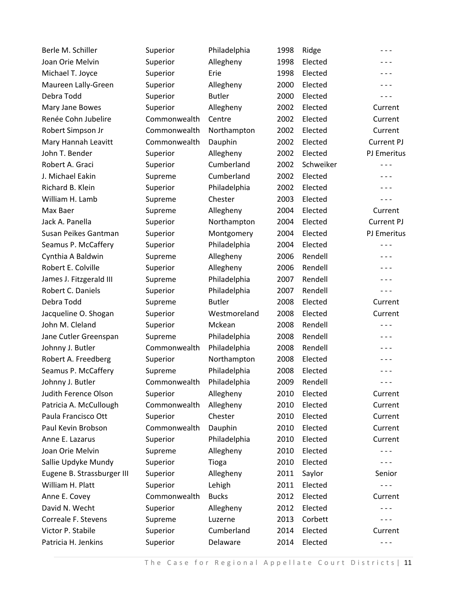| Berle M. Schiller          | Superior     | Philadelphia  | 1998 | Ridge     | $- - -$     |
|----------------------------|--------------|---------------|------|-----------|-------------|
| Joan Orie Melvin           | Superior     | Allegheny     | 1998 | Elected   | $- - -$     |
| Michael T. Joyce           | Superior     | Erie          | 1998 | Elected   | $- - -$     |
| Maureen Lally-Green        | Superior     | Allegheny     | 2000 | Elected   | $- - -$     |
| Debra Todd                 | Superior     | <b>Butler</b> | 2000 | Elected   | $- - -$     |
| Mary Jane Bowes            | Superior     | Allegheny     | 2002 | Elected   | Current     |
| Renée Cohn Jubelire        | Commonwealth | Centre        | 2002 | Elected   | Current     |
| Robert Simpson Jr          | Commonwealth | Northampton   | 2002 | Elected   | Current     |
| Mary Hannah Leavitt        | Commonwealth | Dauphin       | 2002 | Elected   | Current PJ  |
| John T. Bender             | Superior     | Allegheny     | 2002 | Elected   | PJ Emeritus |
| Robert A. Graci            | Superior     | Cumberland    | 2002 | Schweiker | $- - -$     |
| J. Michael Eakin           | Supreme      | Cumberland    | 2002 | Elected   | $- - -$     |
| Richard B. Klein           | Superior     | Philadelphia  | 2002 | Elected   | $- - -$     |
| William H. Lamb            | Supreme      | Chester       | 2003 | Elected   | $- - -$     |
| Max Baer                   | Supreme      | Allegheny     | 2004 | Elected   | Current     |
| Jack A. Panella            | Superior     | Northampton   | 2004 | Elected   | Current PJ  |
| Susan Peikes Gantman       | Superior     | Montgomery    | 2004 | Elected   | PJ Emeritus |
| Seamus P. McCaffery        | Superior     | Philadelphia  | 2004 | Elected   | $- - -$     |
| Cynthia A Baldwin          | Supreme      | Allegheny     | 2006 | Rendell   | $- - -$     |
| Robert E. Colville         | Superior     | Allegheny     | 2006 | Rendell   | $- - -$     |
| James J. Fitzgerald III    | Supreme      | Philadelphia  | 2007 | Rendell   | $- - -$     |
| Robert C. Daniels          | Superior     | Philadelphia  | 2007 | Rendell   | $- - -$     |
| Debra Todd                 | Supreme      | <b>Butler</b> | 2008 | Elected   | Current     |
| Jacqueline O. Shogan       | Superior     | Westmoreland  | 2008 | Elected   | Current     |
| John M. Cleland            | Superior     | Mckean        | 2008 | Rendell   | $- - -$     |
| Jane Cutler Greenspan      | Supreme      | Philadelphia  | 2008 | Rendell   | $- - -$     |
| Johnny J. Butler           | Commonwealth | Philadelphia  | 2008 | Rendell   | $- - -$     |
| Robert A. Freedberg        | Superior     | Northampton   | 2008 | Elected   | $- - -$     |
| Seamus P. McCaffery        | Supreme      | Philadelphia  | 2008 | Elected   | - - -       |
| Johnny J. Butler           | Commonwealth | Philadelphia  | 2009 | Rendell   | $- - -$     |
| Judith Ference Olson       | Superior     | Allegheny     | 2010 | Elected   | Current     |
| Patricia A. McCullough     | Commonwealth | Allegheny     | 2010 | Elected   | Current     |
| Paula Francisco Ott        | Superior     | Chester       | 2010 | Elected   | Current     |
| Paul Kevin Brobson         | Commonwealth | Dauphin       | 2010 | Elected   | Current     |
| Anne E. Lazarus            | Superior     | Philadelphia  | 2010 | Elected   | Current     |
| Joan Orie Melvin           | Supreme      | Allegheny     | 2010 | Elected   | $- - -$     |
| Sallie Updyke Mundy        | Superior     | Tioga         | 2010 | Elected   | $- - -$     |
| Eugene B. Strassburger III | Superior     | Allegheny     | 2011 | Saylor    | Senior      |
| William H. Platt           | Superior     | Lehigh        | 2011 | Elected   | - - -       |
| Anne E. Covey              | Commonwealth | <b>Bucks</b>  | 2012 | Elected   | Current     |
| David N. Wecht             | Superior     | Allegheny     | 2012 | Elected   | - - -       |
| Correale F. Stevens        | Supreme      | Luzerne       | 2013 | Corbett   | - - -       |
| Victor P. Stabile          | Superior     | Cumberland    | 2014 | Elected   | Current     |
| Patricia H. Jenkins        | Superior     | Delaware      | 2014 | Elected   | $- - -$     |
|                            |              |               |      |           |             |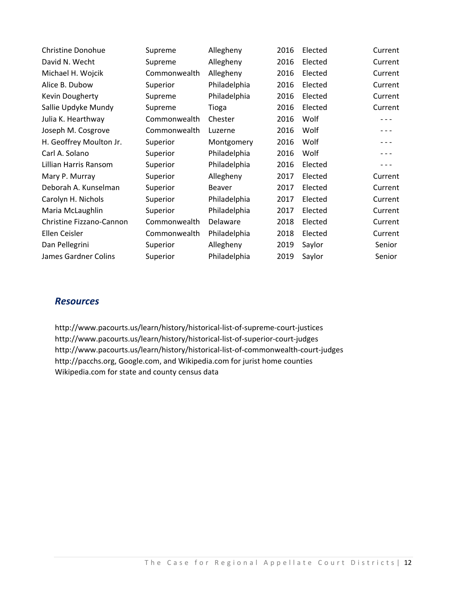| <b>Christine Donohue</b> | Supreme      | Allegheny     | 2016 | Elected | Current |
|--------------------------|--------------|---------------|------|---------|---------|
| David N. Wecht           | Supreme      | Allegheny     | 2016 | Elected | Current |
| Michael H. Wojcik        | Commonwealth | Allegheny     | 2016 | Elected | Current |
| Alice B. Dubow           | Superior     | Philadelphia  | 2016 | Elected | Current |
| Kevin Dougherty          | Supreme      | Philadelphia  | 2016 | Elected | Current |
| Sallie Updyke Mundy      | Supreme      | Tioga         | 2016 | Elected | Current |
| Julia K. Hearthway       | Commonwealth | Chester       | 2016 | Wolf    | - - -   |
| Joseph M. Cosgrove       | Commonwealth | Luzerne       | 2016 | Wolf    | - - -   |
| H. Geoffrey Moulton Jr.  | Superior     | Montgomery    | 2016 | Wolf    | - - -   |
| Carl A. Solano           | Superior     | Philadelphia  | 2016 | Wolf    | - - -   |
| Lillian Harris Ransom    | Superior     | Philadelphia  | 2016 | Elected | - - -   |
| Mary P. Murray           | Superior     | Allegheny     | 2017 | Elected | Current |
| Deborah A. Kunselman     | Superior     | <b>Beaver</b> | 2017 | Elected | Current |
| Carolyn H. Nichols       | Superior     | Philadelphia  | 2017 | Elected | Current |
| Maria McLaughlin         | Superior     | Philadelphia  | 2017 | Elected | Current |
| Christine Fizzano-Cannon | Commonwealth | Delaware      | 2018 | Elected | Current |
| Ellen Ceisler            | Commonwealth | Philadelphia  | 2018 | Elected | Current |
| Dan Pellegrini           | Superior     | Allegheny     | 2019 | Saylor  | Senior  |
| James Gardner Colins     | Superior     | Philadelphia  | 2019 | Saylor  | Senior  |

### *Resources*

http://www.pacourts.us/learn/history/historical‐list‐of‐supreme‐court‐justices http://www.pacourts.us/learn/history/historical‐list‐of‐superior‐court‐judges http://www.pacourts.us/learn/history/historical‐list‐of‐commonwealth‐court‐judges http://pacchs.org, Google.com, and Wikipedia.com for jurist home counties Wikipedia.com for state and county census data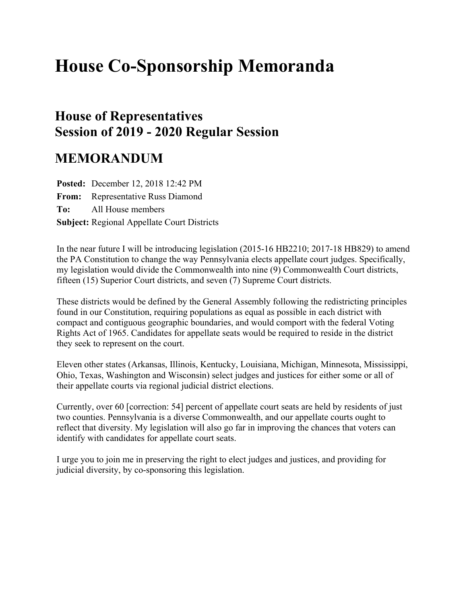# **House Co-Sponsorship Memoranda**

# **House of Representatives Session of 2019 - 2020 Regular Session**

# **MEMORANDUM**

**Posted:** December 12, 2018 12:42 PM **From:** Representative Russ Diamond **To:** All House members **Subject:** Regional Appellate Court Districts

In the near future I will be introducing legislation (2015-16 HB2210; 2017-18 HB829) to amend the PA Constitution to change the way Pennsylvania elects appellate court judges. Specifically, my legislation would divide the Commonwealth into nine (9) Commonwealth Court districts, fifteen (15) Superior Court districts, and seven (7) Supreme Court districts.

These districts would be defined by the General Assembly following the redistricting principles found in our Constitution, requiring populations as equal as possible in each district with compact and contiguous geographic boundaries, and would comport with the federal Voting Rights Act of 1965. Candidates for appellate seats would be required to reside in the district they seek to represent on the court.

Eleven other states (Arkansas, Illinois, Kentucky, Louisiana, Michigan, Minnesota, Mississippi, Ohio, Texas, Washington and Wisconsin) select judges and justices for either some or all of their appellate courts via regional judicial district elections.

Currently, over 60 [correction: 54] percent of appellate court seats are held by residents of just two counties. Pennsylvania is a diverse Commonwealth, and our appellate courts ought to reflect that diversity. My legislation will also go far in improving the chances that voters can identify with candidates for appellate court seats.

I urge you to join me in preserving the right to elect judges and justices, and providing for judicial diversity, by co-sponsoring this legislation.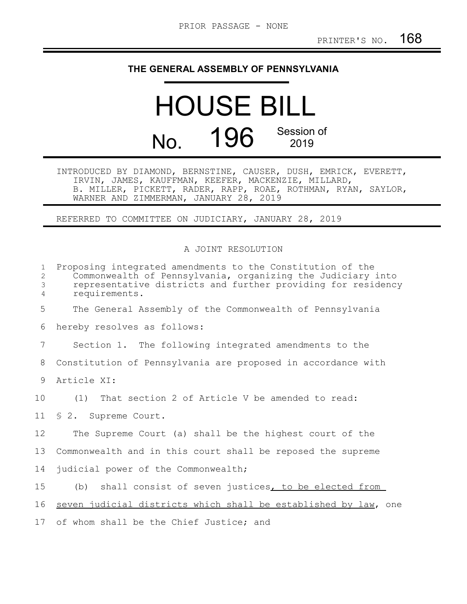### **THE GENERAL ASSEMBLY OF PENNSYLVANIA**

# HOUSE BILL No. 196 Session of 2019

INTRODUCED BY DIAMOND, BERNSTINE, CAUSER, DUSH, EMRICK, EVERETT, IRVIN, JAMES, KAUFFMAN, KEEFER, MACKENZIE, MILLARD, B. MILLER, PICKETT, RADER, RAPP, ROAE, ROTHMAN, RYAN, SAYLOR, WARNER AND ZIMMERMAN, JANUARY 28, 2019

REFERRED TO COMMITTEE ON JUDICIARY, JANUARY 28, 2019

#### A JOINT RESOLUTION

| $\mathbf{1}$<br>2<br>3<br>4 | Proposing integrated amendments to the Constitution of the<br>Commonwealth of Pennsylvania, organizing the Judiciary into<br>representative districts and further providing for residency<br>requirements. |
|-----------------------------|------------------------------------------------------------------------------------------------------------------------------------------------------------------------------------------------------------|
| 5                           | The General Assembly of the Commonwealth of Pennsylvania                                                                                                                                                   |
| 6                           | hereby resolves as follows:                                                                                                                                                                                |
| $7\phantom{.0}$             | Section 1. The following integrated amendments to the                                                                                                                                                      |
| 8                           | Constitution of Pennsylvania are proposed in accordance with                                                                                                                                               |
| 9                           | Article XI:                                                                                                                                                                                                |
| 10                          | (1) That section 2 of Article V be amended to read:                                                                                                                                                        |
|                             | 11 § 2. Supreme Court.                                                                                                                                                                                     |
| 12                          | The Supreme Court (a) shall be the highest court of the                                                                                                                                                    |
| 13                          | Commonwealth and in this court shall be reposed the supreme                                                                                                                                                |
| 14                          | judicial power of the Commonwealth;                                                                                                                                                                        |
| 15 <sub>1</sub>             | (b) shall consist of seven justices, to be elected from                                                                                                                                                    |
| 16                          | seven judicial districts which shall be established by law, one                                                                                                                                            |
| 17                          | of whom shall be the Chief Justice; and                                                                                                                                                                    |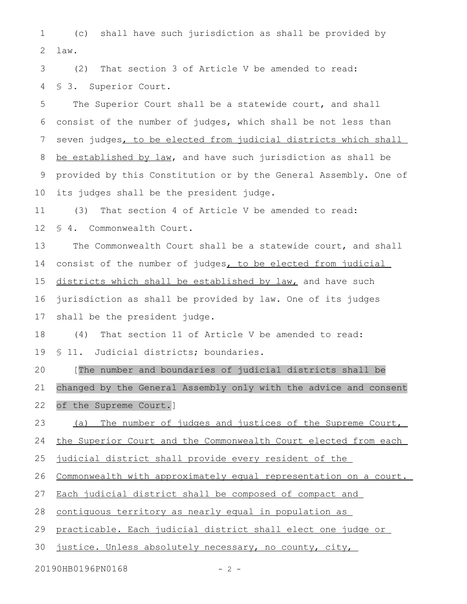(c) shall have such jurisdiction as shall be provided by law. 1 2

(2) That section 3 of Article V be amended to read: § 3. Superior Court. 3 4

The Superior Court shall be a statewide court, and shall consist of the number of judges, which shall be not less than seven judges, to be elected from judicial districts which shall be established by law, and have such jurisdiction as shall be provided by this Constitution or by the General Assembly. One of its judges shall be the president judge. 5 6 7 8 9 10

(3) That section 4 of Article V be amended to read: 11

§ 4. Commonwealth Court. 12

The Commonwealth Court shall be a statewide court, and shall consist of the number of judges, to be elected from judicial districts which shall be established by law, and have such jurisdiction as shall be provided by law. One of its judges 13 14 15 16

shall be the president judge. 17

(4) That section 11 of Article V be amended to read: § 11. Judicial districts; boundaries. 18 19

[The number and boundaries of judicial districts shall be changed by the General Assembly only with the advice and consent of the Supreme Court.] 20 21 22

(a) The number of judges and justices of the Supreme Court, 23

the Superior Court and the Commonwealth Court elected from each 24

judicial district shall provide every resident of the 25

Commonwealth with approximately equal representation on a court. 26

Each judicial district shall be composed of compact and 27

contiguous territory as nearly equal in population as 28

practicable. Each judicial district shall elect one judge or 29

justice. Unless absolutely necessary, no county, city, 30

20190HB0196PN0168 - 2 -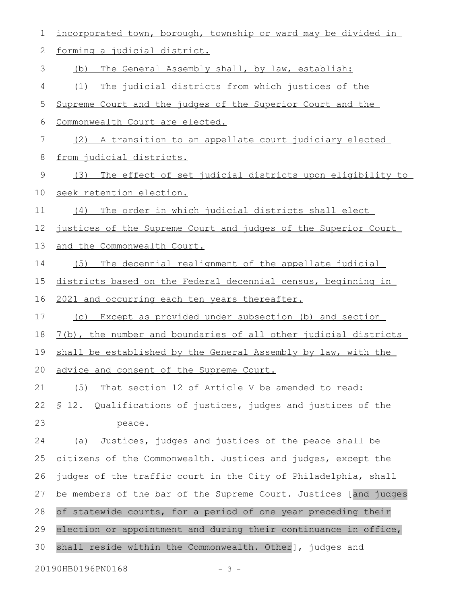| $\mathbf 1$ | incorporated town, borough, township or ward may be divided in   |
|-------------|------------------------------------------------------------------|
| $\sqrt{2}$  | forming a judicial district.                                     |
| 3           | The General Assembly shall, by law, establish:<br>(b)            |
| 4           | The judicial districts from which justices of the<br>(1)         |
| 5           | Supreme Court and the judges of the Superior Court and the       |
| 6           | Commonwealth Court are elected.                                  |
| 7           | (2) A transition to an appellate court judiciary elected         |
| 8           | from judicial districts.                                         |
| 9           | The effect of set judicial districts upon eligibility to<br>(3)  |
| 10          | seek retention election.                                         |
| 11          | The order in which judicial districts shall elect<br>(4)         |
| 12          | justices of the Supreme Court and judges of the Superior Court   |
| 13          | and the Commonwealth Court.                                      |
| 14          | (5)<br>The decennial realignment of the appellate judicial       |
| 15          | districts based on the Federal decennial census, beginning in    |
| 16          | 2021 and occurring each ten years thereafter.                    |
| 17          | Except as provided under subsection (b) and section<br>(C)       |
| 18          | 7(b), the number and boundaries of all other judicial districts  |
| 19          | shall be established by the General Assembly by law, with the    |
|             | 20 advice and consent of the Supreme Court.                      |
| 21          | That section 12 of Article V be amended to read:<br>(5)          |
| 22          | \$ 12. Qualifications of justices, judges and justices of the    |
| 23          | peace.                                                           |
| 24          | Justices, judges and justices of the peace shall be<br>(a)       |
| 25          | citizens of the Commonwealth. Justices and judges, except the    |
| 26          | judges of the traffic court in the City of Philadelphia, shall   |
| 27          | be members of the bar of the Supreme Court. Justices [and judges |
| 28          | of statewide courts, for a period of one year preceding their    |
| 29          | election or appointment and during their continuance in office,  |
| 30          | shall reside within the Commonwealth. Other], judges and         |
|             | 20190HB0196PN0168<br>$-3 -$                                      |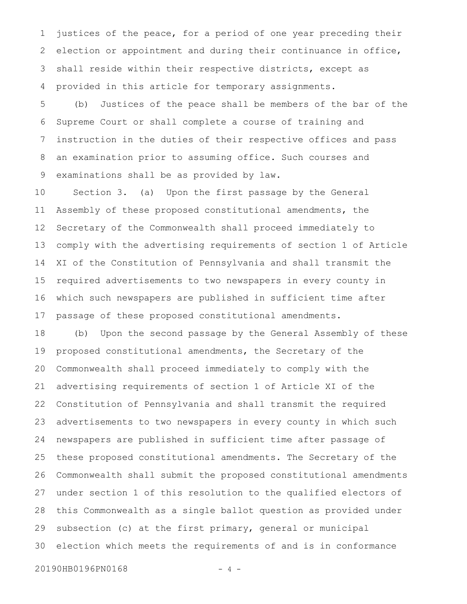justices of the peace, for a period of one year preceding their election or appointment and during their continuance in office, shall reside within their respective districts, except as provided in this article for temporary assignments. 1 2 3 4

(b) Justices of the peace shall be members of the bar of the Supreme Court or shall complete a course of training and instruction in the duties of their respective offices and pass an examination prior to assuming office. Such courses and examinations shall be as provided by law. 5 6 7 8 9

Section 3. (a) Upon the first passage by the General Assembly of these proposed constitutional amendments, the Secretary of the Commonwealth shall proceed immediately to comply with the advertising requirements of section 1 of Article XI of the Constitution of Pennsylvania and shall transmit the required advertisements to two newspapers in every county in which such newspapers are published in sufficient time after passage of these proposed constitutional amendments. 10 11 12 13 14 15 16 17

(b) Upon the second passage by the General Assembly of these proposed constitutional amendments, the Secretary of the Commonwealth shall proceed immediately to comply with the advertising requirements of section 1 of Article XI of the Constitution of Pennsylvania and shall transmit the required advertisements to two newspapers in every county in which such newspapers are published in sufficient time after passage of these proposed constitutional amendments. The Secretary of the Commonwealth shall submit the proposed constitutional amendments under section 1 of this resolution to the qualified electors of this Commonwealth as a single ballot question as provided under subsection (c) at the first primary, general or municipal election which meets the requirements of and is in conformance 18 19 20 21 22 23 24 25 26 27 28 29 30

20190HB0196PN0168 - 4 -